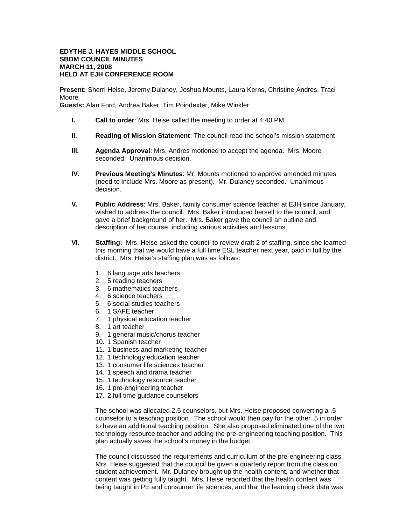## **EDYTHE J. HAYES MIDDLE SCHOOL SBDM COUNCIL MINUTES MARCH 11, 2008 HELD AT EJH CONFERENCE ROOM**

**Present:** Sherri Heise, Jeremy Dulaney, Joshua Mounts, Laura Kerns, Christine Andres, Traci Moore

**Guests:** Alan Ford, Andrea Baker, Tim Poindexter, Mike Winkler

- **I. Call to order**: Mrs. Heise called the meeting to order at 4:40 PM.
- **II. Reading of Mission Statement**: The council read the school's mission statement
- **III. Agenda Approval**: Mrs. Andres motioned to accept the agenda. Mrs. Moore seconded. Unanimous decision.
- **IV. Previous Meeting's Minutes**: Mr. Mounts motioned to approve amended minutes (need to include Mrs. Moore as present). Mr. Dulaney seconded. Unanimous decision.
- **V. Public Address**: Mrs. Baker, family consumer science teacher at EJH since January, wished to address the council. Mrs. Baker introduced herself to the council, and gave a brief background of her. Mrs. Baker gave the council an outline and description of her course, including various activities and lessons.
- **VI. Staffing:** Mrs. Heise asked the council to review draft 2 of staffing, since she learned this morning that we would have a full time ESL teacher next year, paid in full by the district. Mrs. Heise's staffing plan was as follows:
	- 1. 6 language arts teachers
	- 2. 5 reading teachers
	- 3. 6 mathematics teachers
	- 4. 6 science teachers
	- 5. 6 social studies teachers
	- 6. 1 SAFE teacher
	- 7. 1 physical education teacher
	- 8. 1 art teacher
	- 9. 1 general music/chorus teacher
	- 10. 1 Spanish teacher
	- 11. 1 business and marketing teacher
	- 12. 1 technology education teacher
	- 13. 1 consumer life sciences teacher
	- 14. 1 speech and drama teacher
	- 15. 1 technology resource teacher
	- 16. 1 pre-engineering teacher
	- 17. 2 full time guidance counselors

The school was allocated 2.5 counselors, but Mrs. Heise proposed converting a .5 counselor to a teaching position. The school would then pay for the other .5 in order to have an additional teaching position. She also proposed eliminated one of the two technology resource teacher and adding the pre-engineering teaching position. This plan actually saves the school's money in the budget.

The council discussed the requirements and curriculum of the pre-engineering class. Mrs. Heise suggested that the council be given a quarterly report from the class on student achievement. Mr. Dulaney brought up the health content, and whether that content was getting fully taught. Mrs. Heise reported that the health content was being taught in PE and consumer life sciences, and that the learning check data was